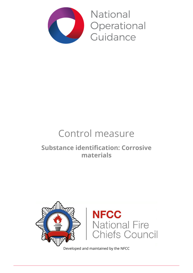

National Operational Guidance

# Control measure

## **Substance identification: Corrosive materials**



Developed and maintained by the NFCC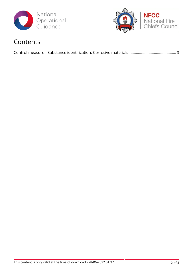



### Contents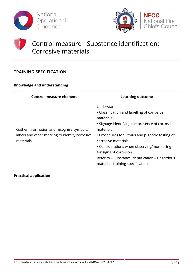



### Control measure - Substance identification: Corrosive materials

### **TRAINING SPECIFICATION**

#### **Knowledge and understanding**

| <b>Control measure element</b>                                                                           | <b>Learning outcome</b>                                                                                                                                                                                                                                                                                                                                                          |
|----------------------------------------------------------------------------------------------------------|----------------------------------------------------------------------------------------------------------------------------------------------------------------------------------------------------------------------------------------------------------------------------------------------------------------------------------------------------------------------------------|
| Gather information and recognise symbols,<br>labels and other marking to identify corrosive<br>materials | Understand:<br>• Classification and labelling of corrosive<br>materials<br>• Signage identifying the presence of corrosive<br>materials<br>• Procedures for Litmus and pH scale testing of<br>corrosive materials<br>• Considerations when observing/monitoring<br>for signs of corrosion<br>Refer to – Substance identification – Hazardous<br>materials training specification |

#### **Practical application**